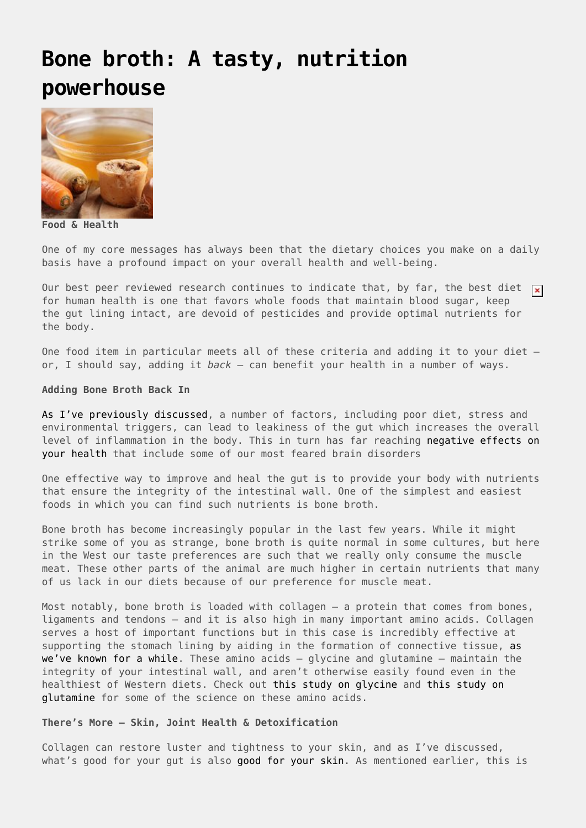## **[Bone broth: A tasty, nutrition](https://drhoffman.com/article/bone-broth-a-tasty-nutrition-powerhouse/) [powerhouse](https://drhoffman.com/article/bone-broth-a-tasty-nutrition-powerhouse/)**



**Food & Health**

One of my core messages has always been that the dietary choices you make on a daily basis have a profound impact on your overall health and well-being.

Our best peer reviewed research continues to indicate that, by far, the best diet  $\overline{x}$ for human health is one that favors whole foods that maintain blood sugar, keep the gut lining intact, are devoid of pesticides and provide optimal nutrients for the body.

One food item in particular meets all of these criteria and adding it to your diet – or, I should say, adding it *back* – can benefit your health in a number of ways.

## **Adding Bone Broth Back In**

[As I've previously discussed](https://www.drperlmutter.com/ages-leaky-gut/), a number of factors, including poor diet, stress and environmental triggers, can lead to leakiness of the gut which increases the overall level of inflammation in the body. This in turn has far reaching [negative effects on](https://www.drperlmutter.com/reduce-inflammation-protect-brain/) [your health](https://www.drperlmutter.com/reduce-inflammation-protect-brain/) that include some of our most feared brain disorders

One effective way to improve and heal the gut is to provide your body with nutrients that ensure the integrity of the intestinal wall. One of the simplest and easiest foods in which you can find such nutrients is bone broth.

Bone broth has become increasingly popular in the last few years. While it might strike some of you as strange, bone broth is quite normal in some cultures, but here in the West our taste preferences are such that we really only consume the muscle meat. These other parts of the animal are much higher in certain nutrients that many of us lack in our diets because of our preference for muscle meat.

Most notably, bone broth is loaded with collagen – a protein that comes from bones, ligaments and tendons – and it is also high in many important amino acids. Collagen serves a host of important functions but in this case is incredibly effective at supporting the stomach lining by aiding in the formation of connective tissue, [as](https://www.ncbi.nlm.nih.gov/pubmed/3792777) [we've known for a while.](https://www.ncbi.nlm.nih.gov/pubmed/3792777) These amino acids  $-$  glycine and glutamine  $-$  maintain the integrity of your intestinal wall, and aren't otherwise easily found even in the healthiest of Western diets. Check out [this study on glycine](http://europepmc.org/abstract/med/9344231) and [this study on](https://link.springer.com/article/10.1007/s00726-014-1773-4) [glutamine](https://link.springer.com/article/10.1007/s00726-014-1773-4) for some of the science on these amino acids.

## **There's More – Skin, Joint Health & Detoxification**

Collagen can restore luster and tightness to your skin, and as I've discussed, what's good for your gut is also [good for your skin.](https://www.drperlmutter.com/psoriasis-gut-related-disorder/) As mentioned earlier, this is